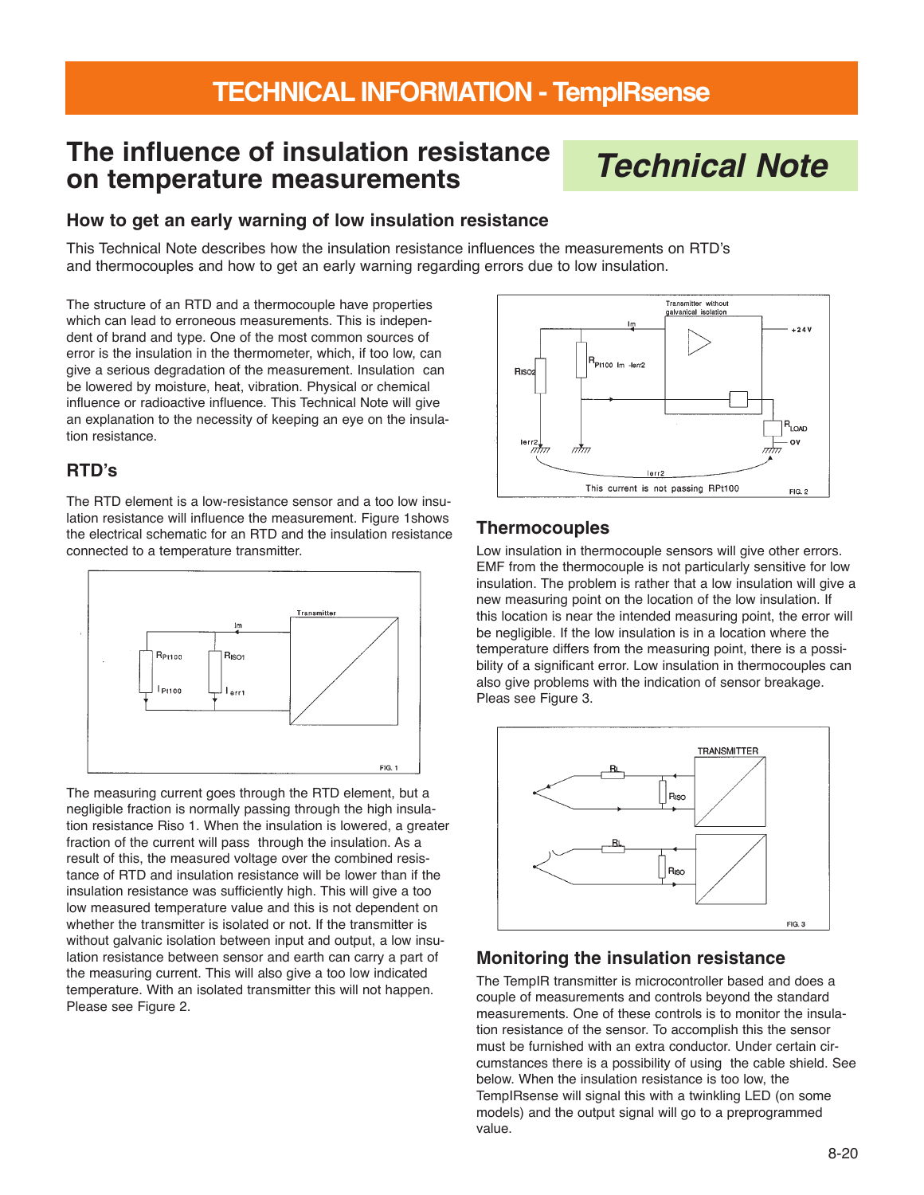# **The influence of insulation resistance on temperature measurements**

# **Technical Note**

#### **How to get an early warning of low insulation resistance**

This Technical Note describes how the insulation resistance influences the measurements on RTD's and thermocouples and how to get an early warning regarding errors due to low insulation.

The structure of an RTD and a thermocouple have properties which can lead to erroneous measurements. This is independent of brand and type. One of the most common sources of error is the insulation in the thermometer, which, if too low, can give a serious degradation of the measurement. Insulation can be lowered by moisture, heat, vibration. Physical or chemical influence or radioactive influence. This Technical Note will give an explanation to the necessity of keeping an eye on the insulation resistance.

#### **RTD's**

The RTD element is a low-resistance sensor and a too low insulation resistance will influence the measurement. Figure 1shows the electrical schematic for an RTD and the insulation resistance connected to a temperature transmitter.



The measuring current goes through the RTD element, but a negligible fraction is normally passing through the high insulation resistance Riso 1. When the insulation is lowered, a greater fraction of the current will pass through the insulation. As a result of this, the measured voltage over the combined resistance of RTD and insulation resistance will be lower than if the insulation resistance was sufficiently high. This will give a too low measured temperature value and this is not dependent on whether the transmitter is isolated or not. If the transmitter is without galvanic isolation between input and output, a low insulation resistance between sensor and earth can carry a part of the measuring current. This will also give a too low indicated temperature. With an isolated transmitter this will not happen. Please see Figure 2.



#### **Thermocouples**

Low insulation in thermocouple sensors will give other errors. EMF from the thermocouple is not particularly sensitive for low insulation. The problem is rather that a low insulation will give a new measuring point on the location of the low insulation. If this location is near the intended measuring point, the error will be negligible. If the low insulation is in a location where the temperature differs from the measuring point, there is a possibility of a significant error. Low insulation in thermocouples can also give problems with the indication of sensor breakage. Pleas see Figure 3.



#### **Monitoring the insulation resistance**

The TempIR transmitter is microcontroller based and does a couple of measurements and controls beyond the standard measurements. One of these controls is to monitor the insulation resistance of the sensor. To accomplish this the sensor must be furnished with an extra conductor. Under certain circumstances there is a possibility of using the cable shield. See below. When the insulation resistance is too low, the TempIRsense will signal this with a twinkling LED (on some models) and the output signal will go to a preprogrammed value.